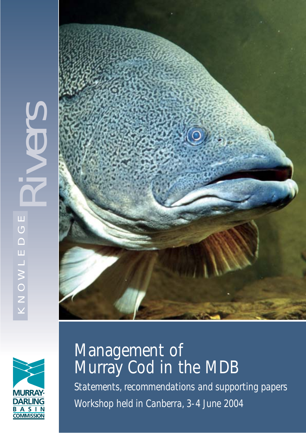





# Management of Murray Cod in the MDB

*Statements, recommendations and supporting papers Workshop held in Canberra, 3-4 June 2004*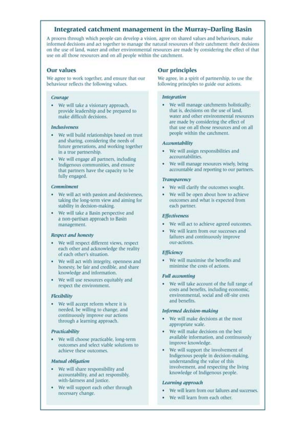# Integrated catchment management in the Murray-Darling Basin

A process through which people can develop a vision, agree on shared values and behaviours, make informed decisions and act together to manage the natural resources of their catchment: their decisions on the use of land, water and other environmental resources are made by considering the effect of that use on all those resources and on all people within the catchment.

## **Our values**

We agree to work together, and ensure that our behaviour reflects the following values.

#### Courage

• We will take a visionary approach, provide leadership and be prepared to make difficult decisions.

#### Indusiveness

- · We will build relationships based on trust and sharing, considering the needs of future generations, and working together in a true partnership.
- We will engage all partners, including  $\bullet$ Indigenous communities, and ensure that partners have the capacity to be fully engaged.

#### Commitment

- We will act with passion and decisiveness, ٠ taking the long-term view and aiming for stability in decision-making.
- We will take a Basin perspective and a non-partisan approach to Basin management.

## Respect and honesty

- · We will respect different views, respect each other and acknowledge the reality of each other's situation.
- We will act with integrity, openness and honesty, be fair and credible, and share knowledge and information.
- We will use resources equitably and respect the environment.

## Flexibility

• We will accept reform where it is needed, be willing to change, and continuously improve our actions through a learning approach.

## Practicability

· We will choose practicable, long-term outcomes and select viable solutions to achieve these outcomes.

#### Mutual obligation

- We will share responsibility and accountability, and act responsibly, with-fairness and justice.
- We will support each other through necessary change.

# **Our principles**

We agree, in a spirit of partnership, to use the following principles to guide our actions.

#### **Integration**

 $\ddot{\phantom{1}}$ We will manage catchments holistically: that is, decisions on the use of land. water and other environmental resources are made by considering the effect of that use on all those resources and on all people within the catchment.

## Accountability

- We will assign responsibilities and accountabilities.
- We will manage resources wisely, being ٠ accountable and reporting to our partners.

#### **Transparency**

- We will clarify the outcomes sought.
- We will be open about how to achieve ٠ outcomes and what is expected from each partner.

#### **Effectiveness**

- · We will act to achieve agreed outcomes.
- We will learn from our successes and failures and continuously improve our-actions.

#### Efficiency

We will maximise the benefits and minimise the costs of actions.

#### **Full accounting**

• We will take account of the full range of costs and benefits, including economic, environmental, social and off-site costs and benefits.

#### Informed decision-making

- We will make decisions at the most appropriate scale.
- We will make decisions on the best available information, and continuously improve knowledge.
- We will support the involvement of ٠ Indigenous people in decision-making, understanding the value of this involvement, and respecting the living knowledge of Indigenous people.

#### Learning approach

- We will learn from our failures and successes.
- We will learn from each other.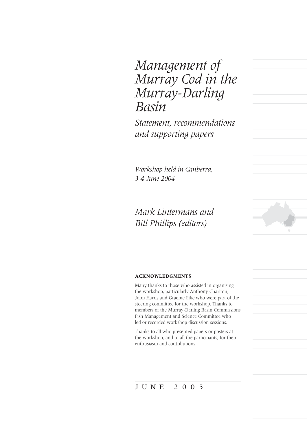# *Management of Murray Cod in the Murray-Darling Basin*

*Statement, recommendations and supporting papers*

*Workshop held in Canberra, 3-4 June 2004*

# *Mark Lintermans and Bill Phillips (editors)*

## **ACKNOWLEDGMENTS**

Many thanks to those who assisted in organising the workshop, particularly Anthony Chariton, John Harris and Graeme Pike who were part of the steering committee for the workshop. Thanks to members of the Murray-Darling Basin Commissions Fish Management and Science Committee who led or recorded workshop discussion sessions.

Thanks to all who presented papers or posters at the workshop, and to all the participants, for their enthusiasm and contributions.

# JUNE 2005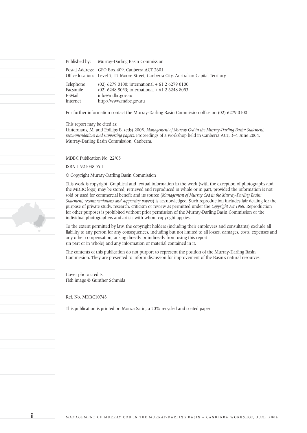Published by: Murray-Darling Basin Commission Postal Address: GPO Box 409, Canberra ACT 2601 Office location: Level 5, 15 Moore Street, Canberra City, Australian Capital Territory Telephone (02) 6279 0100; international + 61 2 6279 0100 Facsimile (02) 6248 8053; international + 61 2 6248 8053 E-Mail info@mdbc.gov.au Internet http://www.mdbc.gov.au

For further information contact the Murray-Darling Basin Commission office on (02) 6279 0100

This report may be cited as:

Lintermans, M. and Phillips B. (eds) 2005. *Management of Murray Cod in the Murray-Darling Basin: Statement, recommendations and supporting papers.* Proceedings of a workshop held in Canberra ACT, 3–4 June 2004. Murray-Darling Basin Commission, Canberra.

MDBC Publication No. 22/05

ISBN 1 921038 55 1

© Copyright Murray-Darling Basin Commission

This work is copyright. Graphical and textual information in the work (with the exception of photographs and the MDBC logo) may be stored, retrieved and reproduced in whole or in part, provided the information is not sold or used for commercial benefit and its source (*Management of Murray Cod in the Murray-Darling Basin: Statement, recommendations and supporting papers*) is acknowledged. Such reproduction includes fair dealing for the purpose of private study, research, criticism or review as permitted under the *Copyright Act 1968*. Reproduction for other purposes is prohibited without prior permission of the Murray-Darling Basin Commission or the individual photographers and artists with whom copyright applies.

To the extent permitted by law, the copyright holders (including their employees and consultants) exclude all liability to any person for any consequences, including but not limited to all losses, damages, costs, expenses and any other compensation, arising directly or indirectly from using this report (in part or in whole) and any information or material contained in it.

The contents of this publication do not purport to represent the position of the Murray-Darling Basin Commission. They are presented to inform discussion for improvement of the Basin's natural resources.

Cover photo credits: Fish image © Gunther Schmida

Ref. No. MDBC10743

This publication is printed on Monza Satin, a 50% recycled and coated paper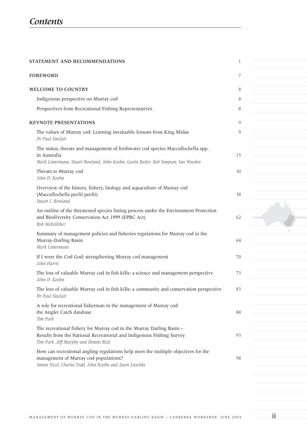| STATEMENT AND RECOMMENDATIONS                                                                                                                                                                                   | 1        |  |
|-----------------------------------------------------------------------------------------------------------------------------------------------------------------------------------------------------------------|----------|--|
| <b>FOREWORD</b>                                                                                                                                                                                                 | 7        |  |
| <b>WELCOME TO COUNTRY</b>                                                                                                                                                                                       | 8        |  |
| Indigenous perspective on Murray cod                                                                                                                                                                            | 8        |  |
| Perspectives from Recreational Fishing Representatives                                                                                                                                                          | 8        |  |
| <b>KEYNOTE PRESENTATIONS</b>                                                                                                                                                                                    | 9        |  |
| The values of Murray cod: Learning invaluable lessons from King Midas<br>Dr Paul Sinclair                                                                                                                       | 9        |  |
| The status, threats and management of freshwater cod species Maccullochella spp.<br>in Australia<br>Mark Lintermans, Stuart Rowland, John Koehn, Gavin Butler, Bob Simpson, Ian Wooden<br>Threats to Murray cod | 15<br>30 |  |
| John D. Koehn<br>Overview of the history, fishery, biology and aquaculture of Murray cod<br>(Maccullochella peelii peelii)<br>Stuart J. Rowland                                                                 | 38       |  |
| An outline of the threatened species listing process under the Environment Protection<br>and Biodiversity Conservation Act 1999 (EPBC Act)<br>Rob McKelleher                                                    | 62       |  |
| Summary of management policies and fisheries regulations for Murray cod in the<br>Murray-Darling Basin<br>Mark Lintermans                                                                                       | 64       |  |
| If I were the Cod God: strengthening Murray cod management<br>John Harris                                                                                                                                       | 70       |  |
| The loss of valuable Murray cod in fish kills: a science and management perspective<br>John D. Koehn                                                                                                            | 73       |  |
| The loss of valuable Murray cod in fish kills: a community and conservation perspective<br>Dr Paul Sinclair                                                                                                     | 83       |  |
| A role for recreational fisherman in the management of Murray cod:<br>the Angler Catch database<br>Tim Park                                                                                                     | 88       |  |
| The recreational fishery for Murray cod in the Murray Darling Basin -<br>Results from the National Recreational and Indigenous Fishing Survey<br>Tim Park, Jeff Murphy and Dennis Reid                          | 93       |  |
| How can recreational angling regulations help meet the multiple objectives for the<br>management of Murray cod populations?<br>Simon Nicol, Charles Todd, John Koehn and Jason Lieschke                         | 98       |  |
|                                                                                                                                                                                                                 |          |  |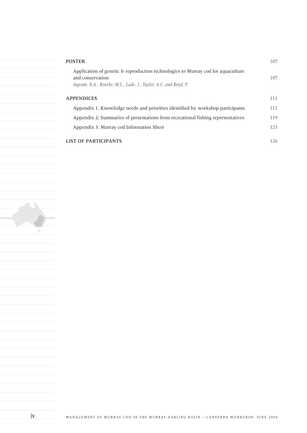| <b>POSTER</b>                                                                                                                                                           | 107 |
|-------------------------------------------------------------------------------------------------------------------------------------------------------------------------|-----|
| Application of genetic & reproduction technologies to Murray cod for aquaculture<br>and conservation<br>Ingram, B.A., Rourke, M.L., Lade, J., Taylor, A.C. and Boyd, P. | 107 |
| <b>APPENDICES</b>                                                                                                                                                       | 111 |
| Appendix 1. Knowledge needs and priorities identified by workshop participants                                                                                          | 111 |
| Appendix 2: Summaries of presentations from recreational fishing representatives                                                                                        | 119 |
| Appendix 3. Murray cod Information Sheet                                                                                                                                | 123 |
| <b>LIST OF PARTICIPANTS</b>                                                                                                                                             | 126 |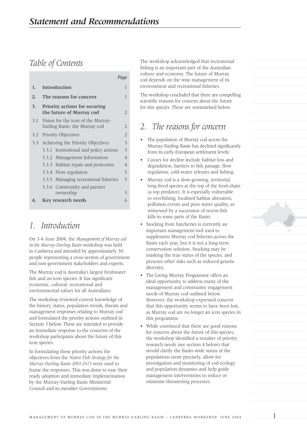# *Table of Contents*

|                  |                                              |                                                                     | Page           |  |  |
|------------------|----------------------------------------------|---------------------------------------------------------------------|----------------|--|--|
| 1.               |                                              | Introduction                                                        | 1              |  |  |
| $\overline{2}$ . | The reasons for concern                      |                                                                     |                |  |  |
| 3.               |                                              | <b>Priority actions for securing</b><br>the future of Murray cod    | 2              |  |  |
| 3.1              |                                              | Vision for the icon of the Murray-<br>Darling Basin: the Murray cod | 2              |  |  |
| 3.2              | <b>Priority Objectives</b><br>$\overline{2}$ |                                                                     |                |  |  |
|                  | 3.3 Achieving the Priority Objectives        |                                                                     |                |  |  |
|                  | 3.3.1                                        | Institutional and policy actions                                    | 3              |  |  |
|                  | 3.3.2                                        | Management Information                                              | $\overline{4}$ |  |  |
|                  |                                              | 3.3.3 Habitat repair and protection                                 | $\overline{4}$ |  |  |
|                  |                                              | 3.3.4 Flow regulation                                               | 5              |  |  |
|                  |                                              | 3.3.5 Managing recreational fisheries                               | 5              |  |  |
|                  |                                              | 3.3.6 Community and partner<br>ownership                            | 5              |  |  |
| 4.               |                                              | <b>Key research needs</b>                                           | 6              |  |  |

# *1. Introduction*

On 3-4 June 2004, the *Management of Murray cod in the Murray-Darling Basin* workshop was held in Canberra and attended by approximately 50 people representing a cross-section of government and non-government stakeholders and experts.

The Murray cod is Australia's largest freshwater fish and an icon species. It has significant economic, cultural, recreational and environmental values for all Australians.

The workshop reviewed current knowledge of the history, status, population trends, threats and management responses relating to Murray cod and formulated the priority actions outlined in Section 3 below. These are intended to provide an immediate response to the concerns of the workshop participants about the future of this icon species.

In formulating these priority actions the objectives from the *Native Fish Strategy for the Murray-Darling Basin 2003-2013* were used to frame the responses. This was done to ease their ready adoption and immediate implementation by the Murray-Darling Basin Ministerial Council and its member Governments.

The workshop acknowledged that recreational fishing is an important part of the Australian culture and economy. The future of Murray cod depends on the wise management of its environment and recreational fisheries.

The workshop concluded that there are compelling scientific reasons for concern about the future for this species. These are summarised below.

# *2. The reasons for concern*

- The population of Murray cod across the Murray-Darling Basin has declined significantly from its early-European settlement levels;
- Causes for decline include habitat loss and degradation, barriers to fish passage, flow regulation, cold-water releases and fishing;
- Murray cod is a slow-growing, territorial, long-lived species at the top of the food-chain (a top predator). It is especially vulnerable to overfishing, localised habitat alteration, pollution events and poor water quality, as witnessed by a succession of recent fish kills in some parts of the Basin;
- Stocking from hatcheries is currently an important management tool used to supplement Murray cod fisheries across the Basin each year, but it is not a long-term conservation solution. Stocking may be masking the true status of the species, and presents other risks such as reduced genetic diversity;
- The Living Murray Programme offers an ideal opportunity to address many of the management and community engagement needs of Murray cod outlined below. However, the workshop expressed concern that this opportunity seems to have been lost, as Murray cod are no longer an icon species in this programme.
- While convinced that there are good reasons for concern about the future of this species, the workshop identified a number of priority research needs (see section 4 below) that would clarify the Basin-wide status of the populations more precisely, allow for investigation and monitoring of cod ecology and population dynamics and help guide management interventions to reduce or minimise threatening processes.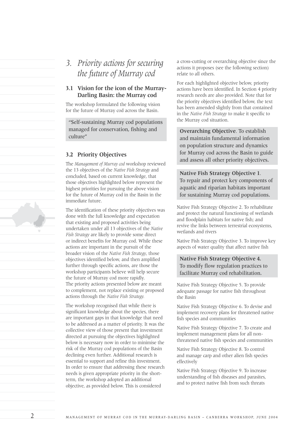*3. Priority actions for securing the future of Murray cod*

# **3.1 Vision for the icon of the Murray-Darling Basin: the Murray cod**

The workshop formulated the following vision for the future of Murray cod across the Basin.

"Self-sustaining Murray cod populations managed for conservation, fishing and culture"

# **3.2 Priority Objectives**

The *Management of Murray cod* workshop reviewed the 13 objectives of the *Native Fish Strategy* and concluded, based on current knowledge, that those objectives highlighted below represent the highest priorities for pursuing the above vision for the future of Murray cod in the Basin in the immediate future.

The identification of these priority objectives was done with the full knowledge and expectation that existing and proposed activities being undertaken under all 13 objectives of the *Native Fish Strategy* are likely to provide some direct or indirect benefits for Murray cod. While these actions are important in the pursuit of the broader vision of the *Native Fish Strategy*, those objectives identified below, and then amplified further through specific actions, are those the workshop participants believe will help secure the future of Murray cod more rapidly. The priority actions presented below are meant to complement, not replace existing or proposed actions through the *Native Fish Strategy.*

The workshop recognised that while there is significant knowledge about the species, there are important gaps in that knowledge that need to be addressed as a matter of priority. It was the collective view of those present that investment directed at pursuing the objectives highlighted below is necessary now in order to minimise the risk of the Murray cod populations of the Basin declining even further. Additional research is essential to support and refine this investment. In order to ensure that addressing these research needs is given appropriate priority in the shortterm, the workshop adopted an additional objective, as provided below. This is considered

a cross-cutting or overarching objective since the actions it proposes (see the following section) relate to all others.

For each highlighted objective below, priority actions have been identified. In Section 4 priority research needs are also provided. Note that for the priority objectives identified below, the text has been amended slightly from that contained in the *Native Fish Strategy* to make it specific to the Murray cod situation.

**Overarching Objective**. To establish and maintain fundamental information on population structure and dynamics for Murray cod across the Basin to guide and assess all other priority objectives.

**Native Fish Strategy Objective 1**. To repair and protect key components of aquatic and riparian habitats important for sustaining Murray cod populations.

Native Fish Strategy Objective 2. To rehabilitate and protect the natural functioning of wetlands and floodplain habitats for native fish; and revive the links between terrestrial ecosystems, wetlands and rivers

Native Fish Strategy Objective 3. To improve key aspects of water quality that affect native fish

**Native Fish Strategy Objective 4.** To modify flow regulation practices to facilitate Murray cod rehabilitation.

Native Fish Strategy Objective 5. To provide adequate passage for native fish throughout the Basin

Native Fish Strategy Objective 6. To devise and implement recovery plans for threatened native fish species and communities

Native Fish Strategy Objective 7. To create and implement management plans for all nonthreatened native fish species and communities

Native Fish Strategy Objective 8. To control and manage carp and other alien fish species effectively

Native Fish Strategy Objective 9. To increase understanding of fish diseases and parasites, and to protect native fish from such threats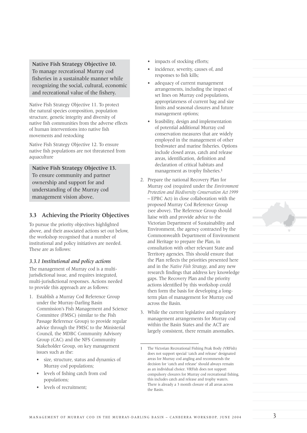**Native Fish Strategy Objective 10.** To manage recreational Murray cod fisheries in a sustainable manner while recognizing the social, cultural, economic and recreational value of the fishery.

Native Fish Strategy Objective 11. To protect the natural species composition, population structure, genetic integrity and diversity of native fish communities from the adverse effects of human interventions into native fish movements and restocking

Native Fish Strategy Objective 12. To ensure native fish populations are not threatened from aquaculture

**Native Fish Strategy Objective 13.** To ensure community and partner ownership and support for and understanding of the Murray cod management vision above.

# **3.3 Achieving the Priority Objectives**

To pursue the priority objectives highlighted above, and their associated actions set out below, the workshop recognised that a number of institutional and policy initiatives are needed. These are as follows:

# *3.3.1 Institutional and policy actions*

The management of Murray cod is a multijurisdictional issue, and requires integrated, multi-jurisdictional responses. Actions needed to provide this approach are as follows:

- 1. Establish a Murray Cod Reference Group under the Murray-Darling Basin Commission's Fish Management and Science Committee (FMSC) (similar to the Fish Passage Reference Group) to provide regular advice through the FMSC to the Ministerial Council, the MDBC Community Advisory Group (CAC) and the NFS Community Stakeholder Group, on key management issues such as the:
	- size, structure, status and dynamics of Murray cod populations;
	- levels of fishing catch from cod populations;
	- levels of recruitment:
- impacts of stocking efforts;
- incidence, severity, causes of, and responses to fish kills;
- adequacy of current management arrangements, including the impact of set lines on Murray cod populations, appropriateness of current bag and size limits and seasonal closures and future management options;
- feasibility, design and implementation of potential additional Murray cod conservation measures that are widely employed in the management of other freshwater and marine fisheries. Options include closed areas, catch and release areas, identification, definition and declaration of critical habitats and management as trophy fisheries.<sup>1</sup>
- 2. Prepare the national Recovery Plan for Murray cod (required under the *Environment Protection and Biodiversity Conservation Act 1999* – EPBC Act) in close collaboration with the proposed Murray Cod Reference Group (see above). The Reference Group should liaise with and provide advice to the Victorian Department of Sustainability and Environment, the agency contracted by the Commonwealth Department of Environment and Heritage to prepare the Plan, in consultation with other relevant State and Territory agencies. This should ensure that the Plan reflects the priorities presented here and in the *Native Fish Strategy*, and any new research findings that address key knowledge gaps. The Recovery Plan and the priority actions identified by this workshop could then form the basis for developing a longterm plan of management for Murray cod across the Basin.
- 3. While the current legislative and regulatory management arrangements for Murray cod within the Basin States and the ACT are largely consistent, there remain anomalies.

<sup>1</sup> The Victorian Recreational Fishing Peak Body (VRFish) does not support special 'catch and release' designated areas for Murray cod angling and recommends the decision for 'catch and release' should always remain as an individual choice. VRFish does not support compulsory closures for Murray cod recreational fishing, this includes catch and release and trophy waters. There is already a 3 month closure of all areas across the Basin.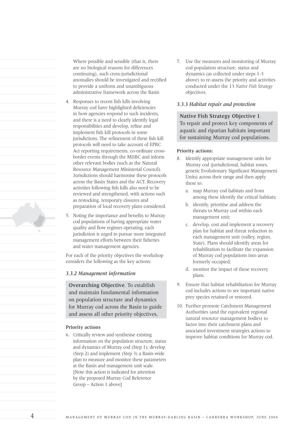Where possible and sensible (that is, there are no biological reasons for differences continuing), such cross-jurisdictional anomalies should be investigated and rectified to provide a uniform and unambiguous administrative framework across the Basin

- 4. Responses to recent fish kills involving Murray cod have highlighted deficiencies in how agencies respond to such incidents, and there is a need to clearly identify legal responsibilities and develop, refine and implement fish kill protocols in some jurisdictions. The refinement of these fish kill protocols will need to take account of EPBC Act reporting requirements, co-ordinate crossborder events through the MDBC and inform other relevant bodies (such as the Natural Resource Management Ministerial Council). Jurisdictions should harmonise these protocols across the Basin States and the ACT. Recovery activities following fish kills also need to be reviewed and strengthened, with actions such as restocking, temporary closures and preparation of local recovery plans considered.
- 5. Noting the importance and benefits to Murray cod populations of having appropriate water quality and flow regimes operating, each jurisdiction is urged to pursue more integrated management efforts between their fisheries and water management agencies.

For each of the priority objectives the workshop considers the following as the key actions:

## *3.3.2 Management information*

**Overarching Objective**. To establish and maintain fundamental information on population structure and dynamics for Murray cod across the Basin to guide and assess all other priority objectives.

## **Priority actions**

6. Critically review and synthesise existing information on the population structure, status and dynamics of Murray cod (Step 1); develop (Step 2) and implement (Step 3) a Basin-wide plan to measure and monitor these parameters at the Basin and management unit scale. [Note this action is indicated for attention by the proposed Murray Cod Reference Group – Action 1 above]

7. Use the measures and monitoring of Murray cod population structure, status and dynamics (as collected under steps 1-3 above) to re-assess the priority and activities conducted under the 13 *Native Fish Strategy* objectives.

# *3.3.3 Habitat repair and protection*

**Native Fish Strategy Objective 1**. To repair and protect key components of aquatic and riparian habitats important for sustaining Murray cod populations.

#### **Priority actions:**

- 8. Identify appropriate management units for Murray cod (jurisdictional, habitat zones, genetic Evolutionary Significant Management Units) across their range and then apply these to:
	- a. map Murray cod habitats and from among these identify the critical habitats;
	- b. identify, prioritise and address the threats to Murray cod within each management unit;
	- c. develop, cost and implement a recovery plan for habitat and threat reduction in each management unit (valley, region, State). Plans should identify areas for rehabilitation to facilitate the expansion of Murray cod populations into areas formerly occupied;
	- d. monitor the impact of these recovery plans.
- 9. Ensure that habitat rehabilitation for Murray cod includes actions to see important native prey species retained or restored.
- 10. Further promote Catchment Management Authorities (and the equivalent regional natural resource management bodies) to factor into their catchment plans and associated investment strategies actions to improve habitat conditions for Murray cod.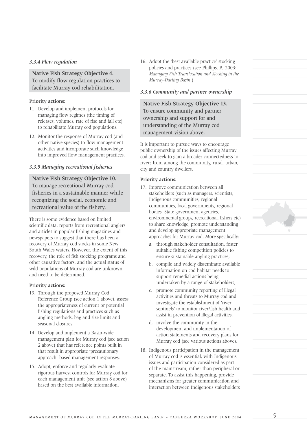## *3.3.4 Flow regulation*

**Native Fish Strategy Objective 4.** To modify flow regulation practices to facilitate Murray cod rehabilitation.

## **Priority actions:**

- 11. Develop and implement protocols for managing flow regimes (the timing of releases, volumes, rate of rise and fall etc) to rehabilitate Murray cod populations.
- 12. Monitor the response of Murray cod (and other native species) to flow management activities and incorporate such knowledge into improved flow management practices.

# *3.3.5 Managing recreational fisheries*

**Native Fish Strategy Objective 10.** To manage recreational Murray cod fisheries in a sustainable manner while recognizing the social, economic and recreational value of the fishery.

There is some evidence based on limited scientific data, reports from recreational anglers and articles in popular fishing magazines and newspapers to suggest that there has been a recovery of Murray cod stocks in some New South Wales waters. However, the extent of this recovery, the role of fish stocking programs and other causative factors, and the actual status of wild populations of Murray cod are unknown and need to be determined.

# **Priority actions:**

- 13. Through the proposed Murray Cod Reference Group (see action 1 above), assess the appropriateness of current or potential fishing regulations and practices such as angling methods, bag and size limits and seasonal closures.
- 14. Develop and implement a Basin-wide management plan for Murray cod (see action 2 above) that has reference points built in that result in appropriate 'precautionary approach'-based management responses;
- 15. Adopt, enforce and regularly evaluate rigorous harvest controls for Murray cod for each management unit (see action 8 above) based on the best available information.

16. Adopt the 'best available practice' stocking policies and practices (see Phillips. B, 2003: *Managing Fish Translocation and Stocking in the Murray-Darling Basin* )

## *3.3.6 Community and partner ownership*

**Native Fish Strategy Objective 13.** To ensure community and partner ownership and support for and understanding of the Murray cod management vision above.

It is important to pursue ways to encourage public ownership of the issues affecting Murray cod and seek to gain a broader connectedness to rivers from among the community, rural, urban, city and country dwellers.

## **Priority actions:**

- 17. Improve communication between all stakeholders (such as managers, scientists, Indigenous communities, regional communities, local governments, regional bodies, State government agencies, environmental groups, recreational. fishers etc) to share knowledge, promote understanding and develop appropriate management approaches for Murray cod. More specifically:
	- a. through stakeholder consultation, foster suitable fishing competition policies to ensure sustainable angling practices;
	- b. compile and widely disseminate available information on cod habitat needs to support remedial actions being undertaken by a range of stakeholders;
	- c. promote community reporting of illegal activities and threats to Murray cod and investigate the establishment of 'river sentinels' to monitor river/fish health and assist in prevention of illegal activities.
	- d. involve the community in the development and implementation of action statements and recovery plans for Murray cod (see various actions above).
- 18. Indigenous participation in the management of Murray cod is essential, with Indigenous issues and participation considered as part of the mainstream, rather than peripheral or separate. To assist this happening, provide mechanisms for greater communication and interaction between Indigenous stakeholders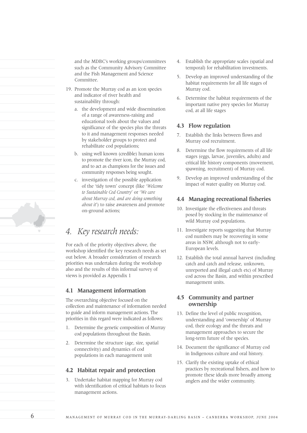and the MDBC's working groups/committees such as the Community Advisory Committee and the Fish Management and Science Committee.

- 19. Promote the Murray cod as an icon species and indicator of river health and sustainability through:
	- a. the development and wide dissemination of a range of awareness-raising and educational tools about the values and significance of the species plus the threats to it and management responses needed by stakeholder groups to protect and rehabilitate cod populations;
	- b. using well known (credible) human icons to promote the river icon, the Murray cod, and to act as champions for the issues and community responses being sought.
	- c. investigation of the possible application of the 'tidy town' concept (like '*Welcome to Sustainable Cod Country*' or '*We care about Murray cod, and are doing something about it*') to raise awareness and promote on-ground actions;

# *4. Key research needs:*

For each of the priority objectives above, the workshop identified the key research needs as set out below. A broader consideration of research priorities was undertaken during the workshop also and the results of this informal survey of views is provided as Appendix 1

# **4.1 Management information**

The overarching objective focused on the collection and maintenance of information needed to guide and inform management actions. The priorities in this regard were indicated as follows:

- 1. Determine the genetic composition of Murray cod populations throughout the Basin.
- 2. Determine the structure (age, size, spatial connectivity) and dynamics of cod populations in each management unit

# **4.2 Habitat repair and protection**

3. Undertake habitat mapping for Murray cod with identification of critical habitats to focus management actions.

- 4. Establish the appropriate scales (spatial and temporal) for rehabilitation investments.
- 5. Develop an improved understanding of the habitat requirements for all life stages of Murray cod.
- 6. Determine the habitat requirements of the important native prey species for Murray cod, at all life stages

# **4.3 Flow regulation**

- 7. Establish the links between flows and Murray cod recruitment.
- 8. Determine the flow requirements of all life stages (eggs, larvae, juveniles, adults) and critical life history components (movement, spawning, recruitment) of Murray cod.
- 9. Develop an improved understanding of the impact of water quality on Murray cod.

# **4.4 Managing recreational fisheries**

- 10. Investigate the effectiveness and threats posed by stocking in the maintenance of wild Murray cod populations.
- 11. Investigate reports suggesting that Murray cod numbers may be recovering in some areas in NSW, although not to early-European levels.
- 12. Establish the total annual harvest (including catch and catch and release, unknown, unreported and illegal catch etc) of Murray cod across the Basin, and within prescribed management units.

# **4.5 Community and partner ownership**

- 13. Define the level of public recognition, understanding and 'ownership' of Murray cod, their ecology and the threats and management approaches to secure the long-term future of the species.
- 14. Document the significance of Murray cod in Indigenous culture and oral history.
- 15. Clarify the existing uptake of ethical practices by recreational fishers, and how to promote these ideals more broadly among anglers and the wider community.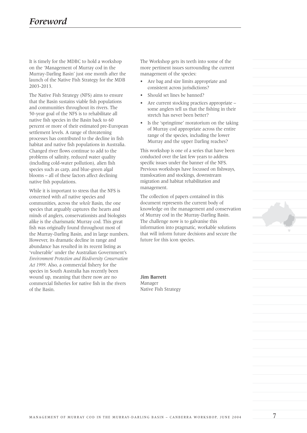It is timely for the MDBC to hold a workshop on the 'Management of Murray cod in the Murray-Darling Basin' just one month after the launch of the Native Fish Strategy for the MDB 2003-2013.

The Native Fish Strategy (NFS) aims to ensure that the Basin sustains viable fish populations and communities throughout its rivers. The 50-year goal of the NFS is to rehabilitate all native fish species in the Basin back to 60 percent or more of their estimated pre-European settlement levels. A range of threatening processes has contributed to the decline in fish habitat and native fish populations in Australia. Changed river flows continue to add to the problems of salinity, reduced water quality (including cold-water pollution), alien fish species such as carp, and blue-green algal blooms – all of these factors affect declining native fish populations.

While it is important to stress that the NFS is concerned with *all* native species and communities, across the *whole* Basin, the one species that arguably captures the hearts and minds of anglers, conservationists and biologists alike is the charismatic Murray cod. This great fish was originally found throughout most of the Murray-Darling Basin, and in large numbers. However, its dramatic decline in range and abundance has resulted in its recent listing as 'vulnerable' under the Australian Government's *Environment Protection and Biodiversity Conservation Act 1999*. Also, a commercial fishery for the species in South Australia has recently been wound up, meaning that there now are no commercial fisheries for native fish in the rivers of the Basin.

The Workshop gets its teeth into some of the more pertinent issues surrounding the current management of the species:

- Are bag and size limits appropriate and consistent across jurisdictions?
- Should set lines be banned?
- Are current stocking practices appropriate some anglers tell us that the fishing in their stretch has never been better?
- Is the 'springtime' moratorium on the taking of Murray cod appropriate across the entire range of the species, including the lower Murray and the upper Darling reaches?

This workshop is one of a series that have been conducted over the last few years to address specific issues under the banner of the NFS. Previous workshops have focussed on fishways, translocation and stockings, downstream migration and habitat rehabilitation and management.

The collection of papers contained in this document represents the current body of knowledge on the management and conservation of Murray cod in the Murray-Darling Basin. The challenge now is to galvanise this information into pragmatic, workable solutions that will inform future decisions and secure the future for this icon species.

**Jim Barrett** Manager Native Fish Strategy